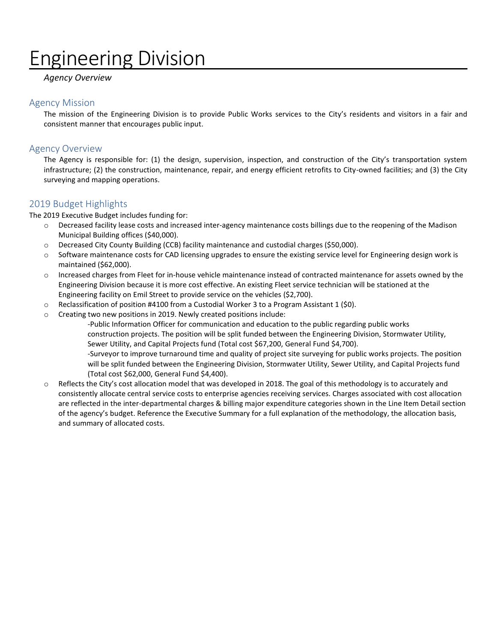# Engineering Division

#### *Agency Overview*

#### Agency Mission

The mission of the Engineering Division is to provide Public Works services to the City's residents and visitors in a fair and consistent manner that encourages public input.

#### Agency Overview

The Agency is responsible for: (1) the design, supervision, inspection, and construction of the City's transportation system infrastructure; (2) the construction, maintenance, repair, and energy efficient retrofits to City-owned facilities; and (3) the City surveying and mapping operations.

#### 2019 Budget Highlights

The 2019 Executive Budget includes funding for:

- o Decreased facility lease costs and increased inter-agency maintenance costs billings due to the reopening of the Madison Municipal Building offices (\$40,000).
- o Decreased City County Building (CCB) facility maintenance and custodial charges (\$50,000).
- o Software maintenance costs for CAD licensing upgrades to ensure the existing service level for Engineering design work is maintained (\$62,000).
- o Increased charges from Fleet for in-house vehicle maintenance instead of contracted maintenance for assets owned by the Engineering Division because it is more cost effective. An existing Fleet service technician will be stationed at the Engineering facility on Emil Street to provide service on the vehicles (\$2,700).
- $\circ$  Reclassification of position #4100 from a Custodial Worker 3 to a Program Assistant 1 (\$0).
- o Creating two new positions in 2019. Newly created positions include:

-Public Information Officer for communication and education to the public regarding public works construction projects. The position will be split funded between the Engineering Division, Stormwater Utility, Sewer Utility, and Capital Projects fund (Total cost \$67,200, General Fund \$4,700).

-Surveyor to improve turnaround time and quality of project site surveying for public works projects. The position will be split funded between the Engineering Division, Stormwater Utility, Sewer Utility, and Capital Projects fund (Total cost \$62,000, General Fund \$4,400).

o Reflects the City's cost allocation model that was developed in 2018. The goal of this methodology is to accurately and consistently allocate central service costs to enterprise agencies receiving services. Charges associated with cost allocation are reflected in the inter-departmental charges & billing major expenditure categories shown in the Line Item Detail section of the agency's budget. Reference the Executive Summary for a full explanation of the methodology, the allocation basis, and summary of allocated costs.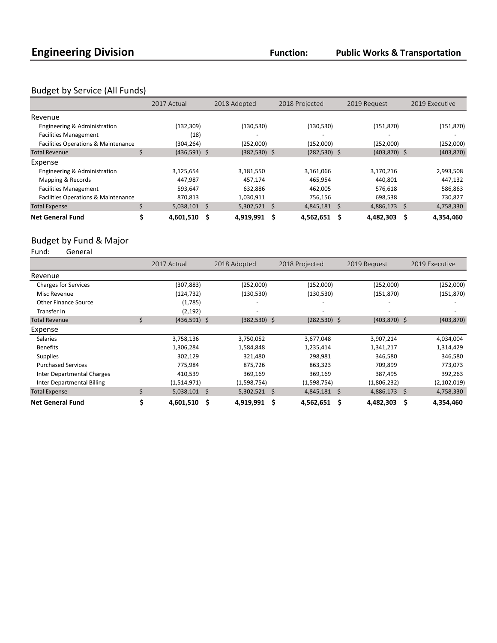### Budget by Service (All Funds)

|                                                | 2017 Actual    | 2018 Adopted    | 2018 Projected    | 2019 Request   | 2019 Executive |
|------------------------------------------------|----------------|-----------------|-------------------|----------------|----------------|
| Revenue                                        |                |                 |                   |                |                |
| Engineering & Administration                   | (132, 309)     | (130, 530)      | (130, 530)        | (151, 870)     | (151, 870)     |
| <b>Facilities Management</b>                   | (18)           |                 |                   |                |                |
| <b>Facilities Operations &amp; Maintenance</b> | (304, 264)     | (252,000)       | (152,000)         | (252,000)      | (252,000)      |
| <b>Total Revenue</b>                           | $(436,591)$ \$ | $(382, 530)$ \$ | $(282, 530)$ \$   | $(403,870)$ \$ | (403, 870)     |
| Expense                                        |                |                 |                   |                |                |
| Engineering & Administration                   | 3,125,654      | 3,181,550       | 3,161,066         | 3,170,216      | 2,993,508      |
| Mapping & Records                              | 447,987        | 457,174         | 465,954           | 440,801        | 447,132        |
| <b>Facilities Management</b>                   | 593.647        | 632,886         | 462,005           | 576,618        | 586,863        |
| <b>Facilities Operations &amp; Maintenance</b> | 870,813        | 1,030,911       | 756,156           | 698,538        | 730,827        |
| <b>Total Expense</b>                           | $5,038,101$ \$ | $5,302,521$ \$  | $4,845,181$ \$    | 4,886,173 \$   | 4,758,330      |
| <b>Net General Fund</b>                        | 4,601,510      | Ŝ<br>4,919,991  | - \$<br>4,562,651 | 4.482.303      | 4.354.460<br>S |

## Budget by Fund & Major<br>Fund: General

General

|                             | 2017 Actual          | 2018 Adopted             | 2018 Projected   | 2019 Request    | 2019 Executive |
|-----------------------------|----------------------|--------------------------|------------------|-----------------|----------------|
| Revenue                     |                      |                          |                  |                 |                |
| <b>Charges for Services</b> | (307, 883)           | (252,000)                | (152,000)        | (252,000)       | (252,000)      |
| Misc Revenue                | (124, 732)           | (130, 530)               | (130, 530)       | (151, 870)      | (151, 870)     |
| Other Finance Source        | (1,785)              |                          |                  |                 |                |
| Transfer In                 | (2, 192)             | $\overline{\phantom{a}}$ |                  |                 |                |
| <b>Total Revenue</b>        | \$<br>$(436,591)$ \$ | $(382,530)$ \$           | $(282, 530)$ \$  | $(403, 870)$ \$ | (403, 870)     |
| Expense                     |                      |                          |                  |                 |                |
| <b>Salaries</b>             | 3,758,136            | 3,750,052                | 3,677,048        | 3,907,214       | 4,034,004      |
| <b>Benefits</b>             | 1,306,284            | 1,584,848                | 1,235,414        | 1,341,217       | 1,314,429      |
| <b>Supplies</b>             | 302,129              | 321,480                  | 298,981          | 346,580         | 346,580        |
| <b>Purchased Services</b>   | 775,984              | 875,726                  | 863,323          | 709,899         | 773,073        |
| Inter Departmental Charges  | 410,539              | 369,169                  | 369,169          | 387,495         | 392,263        |
| Inter Departmental Billing  | (1,514,971)          | (1,598,754)              | (1,598,754)      | (1,806,232)     | (2,102,019)    |
| <b>Total Expense</b>        | \$<br>$5,038,101$ \$ | $5,302,521$ \$           | $4,845,181$ \$   | $4,886,173$ \$  | 4,758,330      |
| <b>Net General Fund</b>     | 4,601,510            | 4,919,991<br>S           | - Ś<br>4,562,651 | 4,482,303<br>S  | 4,354,460<br>S |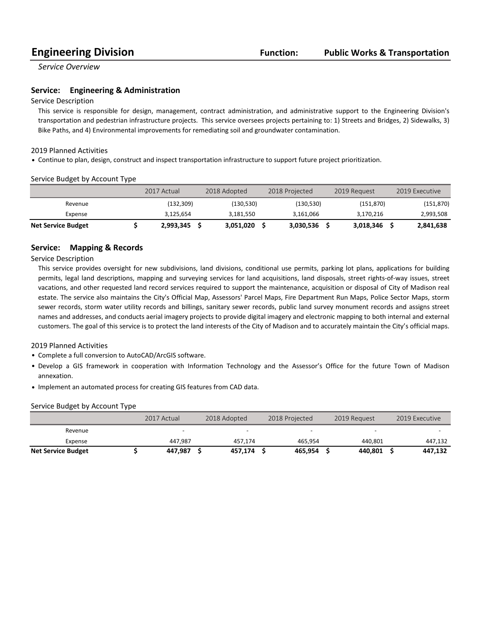*Service Overview*

#### **Service:** Engineering & Administration

#### Service Description

This service is responsible for design, management, contract administration, and administrative support to the Engineering Division's transportation and pedestrian infrastructure projects. This service oversees projects pertaining to: 1) Streets and Bridges, 2) Sidewalks, 3) Bike Paths, and 4) Environmental improvements for remediating soil and groundwater contamination.

#### 2019 Planned Activities

• Continue to plan, design, construct and inspect transportation infrastructure to support future project prioritization.

#### Service Budget by Account Type

|                           | 2017 Actual | 2018 Adopted | 2018 Projected | 2019 Request | 2019 Executive |
|---------------------------|-------------|--------------|----------------|--------------|----------------|
| Revenue                   | (132.309)   | (130.530)    | (130,530)      | (151.870)    | (151, 870)     |
| Expense                   | 3.125.654   | 3.181.550    | 3,161,066      | 3.170.216    | 2,993,508      |
| <b>Net Service Budget</b> | 2,993,345   | 3.051.020    | 3,030,536      | 3,018,346    | 2,841,638      |

#### **Service: Mapping & Records**

Service Description

This service provides oversight for new subdivisions, land divisions, conditional use permits, parking lot plans, applications for building permits, legal land descriptions, mapping and surveying services for land acquisitions, land disposals, street rights-of-way issues, street vacations, and other requested land record services required to support the maintenance, acquisition or disposal of City of Madison real estate. The service also maintains the City's Official Map, Assessors' Parcel Maps, Fire Department Run Maps, Police Sector Maps, storm sewer records, storm water utility records and billings, sanitary sewer records, public land survey monument records and assigns street names and addresses, and conducts aerial imagery projects to provide digital imagery and electronic mapping to both internal and external customers. The goal of this service is to protect the land interests of the City of Madison and to accurately maintain the City's official maps.

2019 Planned Activities

- Complete a full conversion to AutoCAD/ArcGIS software.
- Develop a GIS framework in cooperation with Information Technology and the Assessor's Office for the future Town of Madison annexation.
- Implement an automated process for creating GIS features from CAD data.

#### Service Budget by Account Type

|                           | 2017 Actual | 2018 Adopted | 2018 Projected |         | 2019 Request |         | 2019 Executive |         |
|---------------------------|-------------|--------------|----------------|---------|--------------|---------|----------------|---------|
| Revenue                   |             | -            |                |         |              | -       |                |         |
| Expense                   | 447.987     | 457.174      |                | 465.954 |              | 440.801 |                | 447,132 |
| <b>Net Service Budget</b> | 447,987     | 457.174      |                | 465,954 |              | 440.801 |                | 447.132 |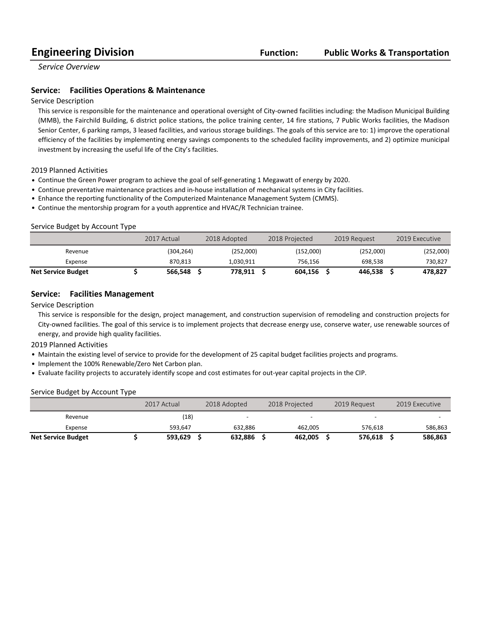*Service Overview*

#### **Service:** Facilities Operations & Maintenance

#### Service Description

This service is responsible for the maintenance and operational oversight of City-owned facilities including: the Madison Municipal Building (MMB), the Fairchild Building, 6 district police stations, the police training center, 14 fire stations, 7 Public Works facilities, the Madison Senior Center, 6 parking ramps, 3 leased facilities, and various storage buildings. The goals of this service are to: 1) improve the operational efficiency of the facilities by implementing energy savings components to the scheduled facility improvements, and 2) optimize municipal investment by increasing the useful life of the City's facilities.

#### 2019 Planned Activities

- Continue the Green Power program to achieve the goal of self-generating 1 Megawatt of energy by 2020.
- Continue preventative maintenance practices and in-house installation of mechanical systems in City facilities.
- Enhance the reporting functionality of the Computerized Maintenance Management System (CMMS).
- Continue the mentorship program for a youth apprentice and HVAC/R Technician trainee.

#### Service Budget by Account Type

|                           | 2017 Actual | 2018 Adopted | 2018 Projected |           | 2019 Request | 2019 Executive |
|---------------------------|-------------|--------------|----------------|-----------|--------------|----------------|
| Revenue                   | (304,264)   | (252,000)    |                | (152,000) | (252,000)    | (252,000)      |
| Expense                   | 870.813     | 1.030.911    |                | 756.156   | 698.538      | 730,827        |
| <b>Net Service Budget</b> | 566.548     | 778.911      |                | 604.156   | 446.538      | 478,827        |

#### **Service:** Facilities Management

Service Description

This service is responsible for the design, project management, and construction supervision of remodeling and construction projects for City-owned facilities. The goal of this service is to implement projects that decrease energy use, conserve water, use renewable sources of energy, and provide high quality facilities.

2019 Planned Activities

- Maintain the existing level of service to provide for the development of 25 capital budget facilities projects and programs.
- Implement the 100% Renewable/Zero Net Carbon plan.
- Evaluate facility projects to accurately identify scope and cost estimates for out-year capital projects in the CIP.

#### Service Budget by Account Type

|                           | 2017 Actual |  | 2018 Adopted |  | 2018 Projected |  | 2019 Request |  | 2019 Executive |  |
|---------------------------|-------------|--|--------------|--|----------------|--|--------------|--|----------------|--|
| Revenue                   | (18)        |  |              |  |                |  |              |  |                |  |
| Expense                   | 593.647     |  | 632.886      |  | 462.005        |  | 576.618      |  | 586,863        |  |
| <b>Net Service Budget</b> | 593,629     |  | 632,886      |  | 462,005        |  | 576.618      |  | 586,863        |  |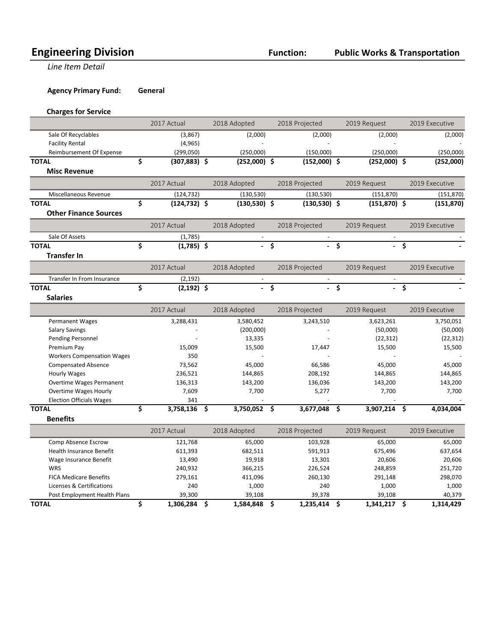**Line Item Detail** 

**Agency Primary Fund: General** 

#### **Charges for Service**

|                                   | 2017 Actual           | 2018 Adopted    |      | 2018 Projected |    | 2019 Request    |             | 2019 Executive |
|-----------------------------------|-----------------------|-----------------|------|----------------|----|-----------------|-------------|----------------|
| Sale Of Recyclables               | (3,867)               | (2,000)         |      | (2,000)        |    | (2,000)         |             | (2,000)        |
| <b>Facility Rental</b>            | (4, 965)              |                 |      | $\overline{a}$ |    | $\overline{a}$  |             |                |
| Reimbursement Of Expense          | (299,050)             | (250,000)       |      | (150,000)      |    | (250,000)       |             | (250,000)      |
| <b>TOTAL</b>                      | \$<br>$(307, 883)$ \$ | $(252,000)$ \$  |      | $(152,000)$ \$ |    | $(252,000)$ \$  |             | (252,000)      |
| <b>Misc Revenue</b>               |                       |                 |      |                |    |                 |             |                |
|                                   | 2017 Actual           | 2018 Adopted    |      | 2018 Projected |    | 2019 Request    |             | 2019 Executive |
| Miscellaneous Revenue             | (124, 732)            | (130, 530)      |      | (130, 530)     |    | (151, 870)      |             | (151, 870)     |
| <b>TOTAL</b>                      | \$<br>$(124, 732)$ \$ | $(130,530)$ \$  |      | $(130,530)$ \$ |    | $(151, 870)$ \$ |             | (151, 870)     |
| <b>Other Finance Sources</b>      |                       |                 |      |                |    |                 |             |                |
|                                   | 2017 Actual           | 2018 Adopted    |      | 2018 Projected |    | 2019 Request    |             | 2019 Executive |
| Sale Of Assets                    | (1,785)               | $\sim$          |      | $\sim$         |    | $\sim$          |             |                |
| <b>TOTAL</b>                      | \$<br>$(1,785)$ \$    |                 | \$   |                | Ŝ. |                 | $-5$        |                |
| <b>Transfer In</b>                |                       |                 |      |                |    |                 |             |                |
|                                   | 2017 Actual           | 2018 Adopted    |      | 2018 Projected |    | 2019 Request    |             | 2019 Executive |
| Transfer In From Insurance        | (2, 192)              |                 |      |                |    |                 |             |                |
| <b>TOTAL</b>                      | \$<br>$(2, 192)$ \$   | ÷.              | \$   | $\overline{a}$ | \$ |                 | $-\sqrt{2}$ |                |
| <b>Salaries</b>                   |                       |                 |      |                |    |                 |             |                |
|                                   | 2017 Actual           | 2018 Adopted    |      | 2018 Projected |    | 2019 Request    |             | 2019 Executive |
| Permanent Wages                   | 3,288,431             | 3,580,452       |      | 3,243,510      |    | 3,623,261       |             | 3,750,051      |
| <b>Salary Savings</b>             |                       | (200,000)       |      |                |    | (50,000)        |             | (50,000)       |
| <b>Pending Personnel</b>          |                       | 13,335          |      |                |    | (22, 312)       |             | (22, 312)      |
| Premium Pay                       | 15,009                | 15,500          |      | 17,447         |    | 15,500          |             | 15,500         |
| <b>Workers Compensation Wages</b> | 350                   |                 |      |                |    |                 |             |                |
| <b>Compensated Absence</b>        | 73,562                | 45,000          |      | 66,586         |    | 45,000          |             | 45,000         |
| <b>Hourly Wages</b>               | 236,521               | 144,865         |      | 208,192        |    | 144,865         |             | 144,865        |
| <b>Overtime Wages Permanent</b>   | 136,313               | 143,200         |      | 136,036        |    | 143,200         |             | 143,200        |
| <b>Overtime Wages Hourly</b>      | 7,609                 | 7,700           |      | 5,277          |    | 7,700           |             | 7,700          |
| <b>Election Officials Wages</b>   | 341                   |                 |      |                |    |                 |             |                |
| <b>TOTAL</b>                      | \$<br>3,758,136       | \$<br>3,750,052 | - \$ | 3,677,048      | \$ | 3,907,214       | \$.         | 4,034,004      |
| <b>Benefits</b>                   |                       |                 |      |                |    |                 |             |                |
|                                   | 2017 Actual           | 2018 Adopted    |      | 2018 Projected |    | 2019 Request    |             | 2019 Executive |
| Comp Absence Escrow               | 121,768               | 65,000          |      | 103,928        |    | 65,000          |             | 65,000         |
| <b>Health Insurance Benefit</b>   | 611,393               | 682,511         |      | 591,913        |    | 675,496         |             | 637,654        |
| Wage Insurance Benefit            | 13,490                | 19,918          |      | 13,301         |    | 20,606          |             | 20,606         |
| WRS                               | 240,932               | 366,215         |      | 226,524        |    | 248,859         |             | 251,720        |
| <b>FICA Medicare Benefits</b>     | 279,161               | 411,096         |      | 260,130        |    | 291,148         |             | 298,070        |
| Licenses & Certifications         | 240                   | 1,000           |      | 240            |    | 1,000           |             | 1,000          |
| Post Employment Health Plans      | 39,300                | 39,108          |      | 39,378         |    | 39,108          |             | 40,379         |
| <b>TOTAL</b>                      | \$<br>1,306,284       | \$<br>1,584,848 | \$   | 1,235,414      | \$ | 1,341,217       | \$          | 1,314,429      |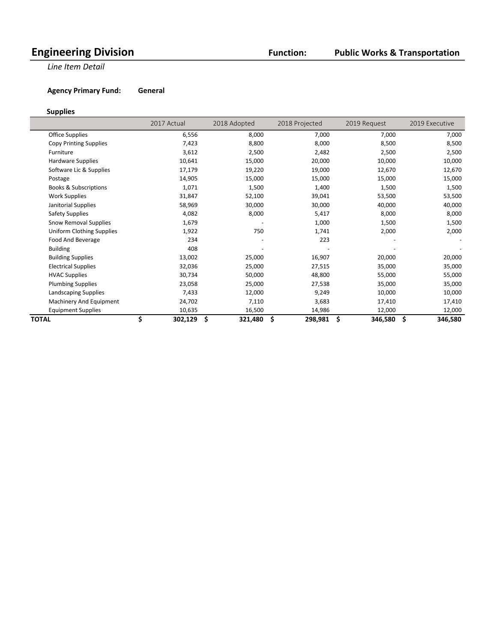#### **Public Works & Transportation**

**Line Item Detail** 

**Agency Primary Fund: General** 

#### **Supplies**

 $\overline{\phantom{a}}$ 

|                                  | 2017 Actual   | 2018 Adopted |         | 2018 Projected | 2019 Request  | 2019 Executive |
|----------------------------------|---------------|--------------|---------|----------------|---------------|----------------|
| <b>Office Supplies</b>           | 6,556         |              | 8,000   | 7,000          | 7,000         | 7,000          |
| Copy Printing Supplies           | 7,423         |              | 8,800   | 8,000          | 8,500         | 8,500          |
| Furniture                        | 3,612         |              | 2,500   | 2,482          | 2,500         | 2,500          |
| <b>Hardware Supplies</b>         | 10,641        |              | 15,000  | 20,000         | 10,000        | 10,000         |
| Software Lic & Supplies          | 17,179        |              | 19,220  | 19,000         | 12,670        | 12,670         |
| Postage                          | 14,905        |              | 15,000  | 15,000         | 15,000        | 15,000         |
| <b>Books &amp; Subscriptions</b> | 1,071         |              | 1,500   | 1,400          | 1,500         | 1,500          |
| <b>Work Supplies</b>             | 31,847        |              | 52,100  | 39,041         | 53,500        | 53,500         |
| Janitorial Supplies              | 58,969        |              | 30,000  | 30,000         | 40,000        | 40,000         |
| <b>Safety Supplies</b>           | 4,082         |              | 8,000   | 5,417          | 8,000         | 8,000          |
| Snow Removal Supplies            | 1,679         |              |         | 1,000          | 1,500         | 1,500          |
| <b>Uniform Clothing Supplies</b> | 1,922         |              | 750     | 1,741          | 2,000         | 2,000          |
| Food And Beverage                | 234           |              |         | 223            |               |                |
| <b>Building</b>                  | 408           |              |         |                |               |                |
| <b>Building Supplies</b>         | 13,002        |              | 25,000  | 16,907         | 20,000        | 20,000         |
| <b>Electrical Supplies</b>       | 32,036        |              | 25,000  | 27,515         | 35,000        | 35,000         |
| <b>HVAC Supplies</b>             | 30,734        |              | 50,000  | 48,800         | 55,000        | 55,000         |
| <b>Plumbing Supplies</b>         | 23,058        |              | 25,000  | 27,538         | 35,000        | 35,000         |
| Landscaping Supplies             | 7,433         |              | 12,000  | 9,249          | 10,000        | 10,000         |
| Machinery And Equipment          | 24,702        |              | 7,110   | 3,683          | 17,410        | 17,410         |
| <b>Equipment Supplies</b>        | 10,635        |              | 16,500  | 14,986         | 12,000        | 12,000         |
| TOTAL                            | \$<br>302,129 | \$           | 321,480 | \$<br>298,981  | \$<br>346,580 | \$<br>346,580  |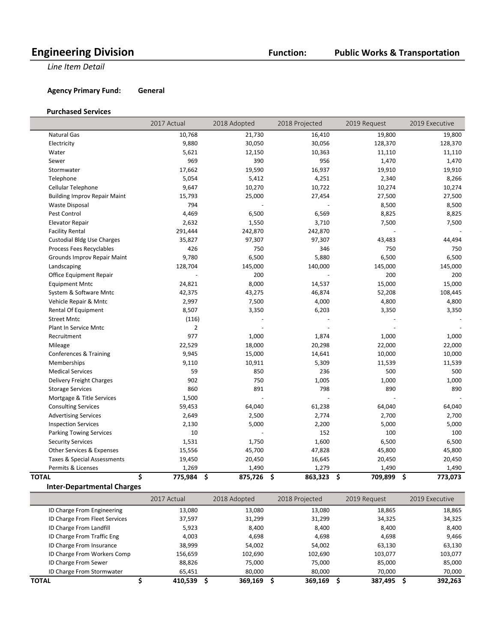#### **Public Works & Transportation**

**Line Item Detail** 

**Agency Primary Fund: General** 

#### **Purchased Services**

|                                     | 2017 Actual         | 2018 Adopted | 2018 Projected | 2019 Request  | 2019 Executive |
|-------------------------------------|---------------------|--------------|----------------|---------------|----------------|
| <b>Natural Gas</b>                  | 10,768              | 21,730       | 16,410         | 19,800        | 19,800         |
| Electricity                         | 9,880               | 30,050       | 30,056         | 128,370       | 128,370        |
| Water                               | 5,621               | 12,150       | 10,363         | 11,110        | 11,110         |
| Sewer                               | 969                 | 390          | 956            | 1,470         | 1,470          |
| Stormwater                          | 17,662              | 19,590       | 16,937         | 19,910        | 19,910         |
| Telephone                           | 5,054               | 5,412        | 4,251          | 2,340         | 8,266          |
| Cellular Telephone                  | 9,647               | 10,270       | 10,722         | 10,274        | 10,274         |
| <b>Building Improv Repair Maint</b> | 15,793              | 25,000       | 27,454         | 27,500        | 27,500         |
| <b>Waste Disposal</b>               | 794                 |              |                | 8,500         | 8,500          |
| Pest Control                        | 4,469               | 6,500        | 6,569          | 8,825         | 8,825          |
| <b>Elevator Repair</b>              | 2,632               | 1,550        | 3,710          | 7,500         | 7,500          |
| <b>Facility Rental</b>              | 291,444             | 242,870      | 242,870        |               |                |
| <b>Custodial Bldg Use Charges</b>   | 35,827              | 97,307       | 97,307         | 43,483        | 44,494         |
| Process Fees Recyclables            | 426                 | 750          | 346            | 750           | 750            |
| Grounds Improv Repair Maint         | 9,780               | 6,500        | 5,880          | 6,500         | 6,500          |
| Landscaping                         | 128,704             | 145,000      | 140,000        | 145,000       | 145,000        |
| Office Equipment Repair             |                     | 200          |                | 200           | 200            |
| <b>Equipment Mntc</b>               | 24,821              | 8,000        | 14,537         | 15,000        | 15,000         |
| System & Software Mntc              | 42,375              | 43,275       | 46,874         | 52,208        | 108,445        |
| Vehicle Repair & Mntc               | 2,997               | 7,500        | 4,000          | 4,800         | 4,800          |
| Rental Of Equipment                 | 8,507               | 3,350        | 6,203          | 3,350         | 3,350          |
| <b>Street Mntc</b>                  | (116)               |              |                |               |                |
| Plant In Service Mntc               | $\overline{2}$      |              |                |               |                |
| Recruitment                         | 977                 | 1,000        | 1,874          | 1,000         | 1,000          |
| Mileage                             | 22,529              | 18,000       | 20,298         | 22,000        | 22,000         |
| Conferences & Training              | 9,945               | 15,000       | 14,641         | 10,000        | 10,000         |
| Memberships                         | 9,110               | 10,911       | 5,309          | 11,539        | 11,539         |
| <b>Medical Services</b>             | 59                  | 850          | 236            | 500           | 500            |
| Delivery Freight Charges            | 902                 | 750          | 1,005          | 1,000         | 1,000          |
| <b>Storage Services</b>             | 860                 | 891          | 798            | 890           | 890            |
| Mortgage & Title Services           | 1,500               |              |                |               |                |
| <b>Consulting Services</b>          | 59,453              | 64,040       | 61,238         | 64,040        | 64,040         |
| <b>Advertising Services</b>         | 2,649               | 2,500        | 2,774          | 2,700         | 2,700          |
| <b>Inspection Services</b>          | 2,130               | 5,000        | 2,200          | 5,000         | 5,000          |
| <b>Parking Towing Services</b>      | 10                  |              | 152            | 100           | 100            |
| <b>Security Services</b>            | 1,531               | 1,750        | 1,600          | 6,500         | 6,500          |
| Other Services & Expenses           | 15,556              | 45,700       | 47,828         | 45,800        | 45,800         |
| Taxes & Special Assessments         | 19,450              | 20,450       | 16,645         | 20,450        | 20,450         |
| Permits & Licenses                  | 1,269               | 1,490        | 1,279          | 1,490         | 1,490          |
| <b>TOTAL</b>                        | \$<br>775,984<br>\$ | 875,726      | \$<br>863,323  | \$<br>709,899 | \$<br>773,073  |

**Inter-Departmental Charges**

|                               | 2017 Actual | 2018 Adopted | 2018 Projected | 2019 Request | 2019 Executive |
|-------------------------------|-------------|--------------|----------------|--------------|----------------|
| ID Charge From Engineering    | 13,080      | 13,080       | 13,080         | 18,865       | 18,865         |
| ID Charge From Fleet Services | 37,597      | 31,299       | 31,299         | 34,325       | 34,325         |
| ID Charge From Landfill       | 5,923       | 8,400        | 8,400          | 8,400        | 8,400          |
| ID Charge From Traffic Eng    | 4,003       | 4,698        | 4,698          | 4,698        | 9,466          |
| ID Charge From Insurance      | 38,999      | 54,002       | 54,002         | 63,130       | 63,130         |
| ID Charge From Workers Comp   | 156,659     | 102,690      | 102,690        | 103,077      | 103,077        |
| ID Charge From Sewer          | 88,826      | 75.000       | 75.000         | 85,000       | 85,000         |
| ID Charge From Stormwater     | 65,451      | 80,000       | 80,000         | 70,000       | 70,000         |
| <b>TOTAL</b>                  | 410.539     | 369.169      | 369.169        | 387,495      | 392.263        |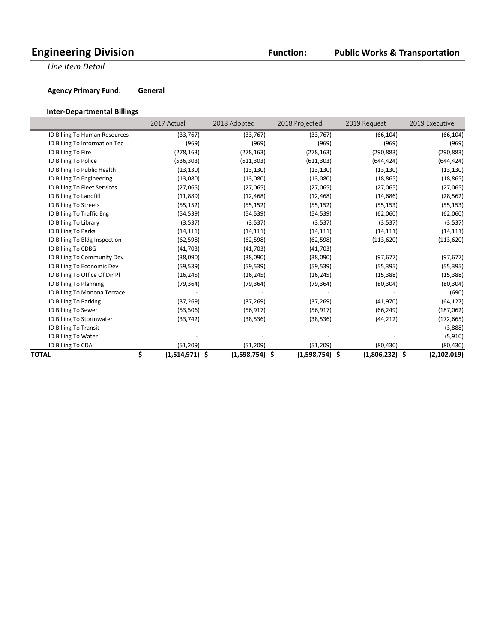#### **Public Works & Transportation**

**Line Item Detail** 

 $\overline{\phantom{a}}$ 

**Agency Primary Fund: General** 

#### **Inter-Departmental Billings**

|                                | 2017 Actual       | 2018 Adopted            | 2018 Projected | 2019 Request      | 2019 Executive    |
|--------------------------------|-------------------|-------------------------|----------------|-------------------|-------------------|
| ID Billing To Human Resources  | (33, 767)         | (33, 767)               | (33, 767)      | (66, 104)         | (66, 104)         |
| ID Billing To Information Tec  |                   | (969)<br>(969)          | (969)          | (969)             | (969)             |
| ID Billing To Fire             | (278, 163)        | (278, 163)              | (278, 163)     | (290, 883)        | (290, 883)        |
| ID Billing To Police           | (536, 303)        | (611, 303)              | (611, 303)     | (644, 424)        | (644, 424)        |
| ID Billing To Public Health    | (13, 130)         | (13, 130)               | (13, 130)      | (13, 130)         | (13, 130)         |
| ID Billing To Engineering      | (13,080)          | (13,080)                | (13,080)       | (18, 865)         | (18, 865)         |
| ID Billing To Fleet Services   | (27,065)          | (27,065)                | (27,065)       | (27,065)          | (27,065)          |
| ID Billing To Landfill         | (11,889)          | (12, 468)               | (12, 468)      | (14, 686)         | (28, 562)         |
| ID Billing To Streets          | (55, 152)         | (55, 152)               | (55, 152)      | (55, 153)         | (55, 153)         |
| ID Billing To Traffic Eng      | (54, 539)         | (54, 539)               | (54, 539)      | (62,060)          | (62,060)          |
| ID Billing To Library          |                   | (3,537)<br>(3,537)      | (3,537)        | (3,537)           | (3,537)           |
| ID Billing To Parks            | (14, 111)         | (14, 111)               | (14, 111)      | (14, 111)         | (14, 111)         |
| ID Billing To Bldg Inspection  | (62, 598)         | (62, 598)               | (62, 598)      | (113, 620)        | (113, 620)        |
| ID Billing To CDBG             | (41,703)          | (41,703)                | (41,703)       |                   |                   |
| ID Billing To Community Dev    | (38,090)          | (38,090)                | (38,090)       | (97, 677)         | (97, 677)         |
| ID Billing To Economic Dev     | (59, 539)         | (59, 539)               | (59, 539)      | (55, 395)         | (55, 395)         |
| ID Billing To Office Of Dir Pl | (16, 245)         | (16, 245)               | (16, 245)      | (15, 388)         | (15, 388)         |
| ID Billing To Planning         | (79, 364)         | (79, 364)               | (79, 364)      | (80, 304)         | (80, 304)         |
| ID Billing To Monona Terrace   |                   |                         |                |                   | (690)             |
| ID Billing To Parking          | (37, 269)         | (37, 269)               | (37, 269)      | (41, 970)         | (64, 127)         |
| ID Billing To Sewer            | (53, 506)         | (56, 917)               | (56, 917)      | (66, 249)         | (187,062)         |
| ID Billing To Stormwater       | (33, 742)         | (38, 536)               | (38, 536)      | (44, 212)         | (172, 665)        |
| ID Billing To Transit          |                   |                         |                |                   | (3,888)           |
| ID Billing To Water            |                   |                         |                |                   | (5, 910)          |
| ID Billing To CDA              | (51, 209)         | (51, 209)               | (51, 209)      | (80, 430)         | (80, 430)         |
| TOTAL                          | \$<br>(1,514,971) | $(1,598,754)$ \$<br>\$. | (1,598,754)    | \$<br>(1,806,232) | \$<br>(2,102,019) |